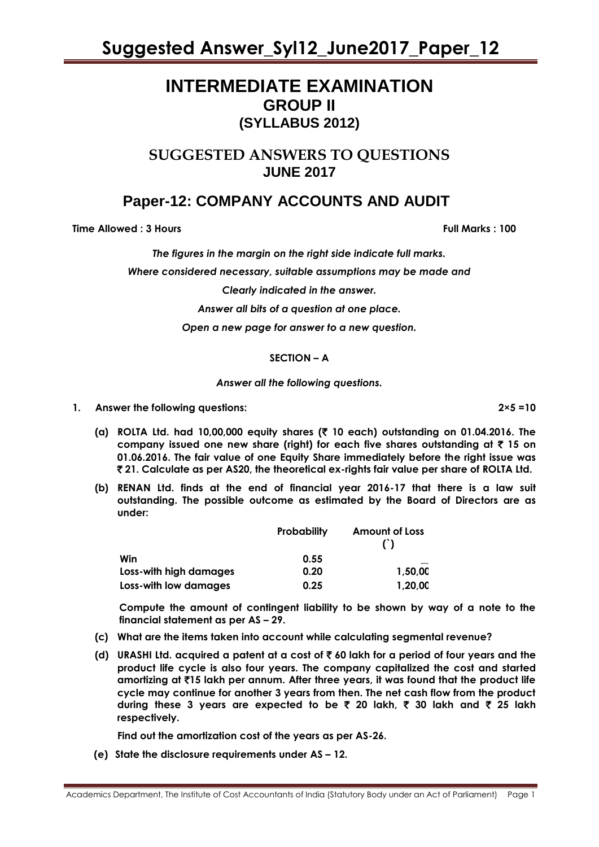### **INTERMEDIATE EXAMINATION GROUP II (SYLLABUS 2012)**

### **SUGGESTED ANSWERS TO QUESTIONS JUNE 2017**

### **Paper-12: COMPANY ACCOUNTS AND AUDIT**

**Time Allowed : 3 Hours Full Marks : 100** 

*The figures in the margin on the right side indicate full marks.*

*Where considered necessary, suitable assumptions may be made and* 

*Clearly indicated in the answer.*

*Answer all bits of a question at one place.*

*Open a new page for answer to a new question.* 

#### **SECTION – A**

*Answer all the following questions.* 

- **1. Answer the following questions: 2×5 =10**
	- **(a) ROLTA Ltd. had 10,00,000 equity shares (**` **10 each) outstanding on 01.04.2016. The company issued one new share (right) for each five shares outstanding at** ` **15 on 01.06.2016. The fair value of one Equity Share immediately before the right issue was**  ` **21. Calculate as per AS20, the theoretical ex-rights fair value per share of ROLTA Ltd.**
	- **(b) RENAN Ltd. finds at the end of financial year 2016-17 that there is a law suit outstanding. The possible outcome as estimated by the Board of Directors are as under:**

|                        | <b>Probability</b> | <b>Amount of Loss</b> |  |
|------------------------|--------------------|-----------------------|--|
| Win                    | 0.55               |                       |  |
| Loss-with high damages | 0.20               | 1.50.00               |  |
| Loss-with low damages  | 0.25               | 1,20,00               |  |

**Compute the amount of contingent liability to be shown by way of a note to the financial statement as per AS – 29.**

- **(c) What are the items taken into account while calculating segmental revenue?**
- **(d) URASHI Ltd. acquired a patent at a cost of** ` **60 lakh for a period of four years and the product life cycle is also four years. The company capitalized the cost and started amortizing at** `**15 lakh per annum. After three years, it was found that the product life cycle may continue for another 3 years from then. The net cash flow from the product during these 3 years are expected to be** ` **20 lakh,** ` **30 lakh and** ` **25 lakh respectively.**

**Find out the amortization cost of the years as per AS-26.**

**(e) State the disclosure requirements under AS – 12.**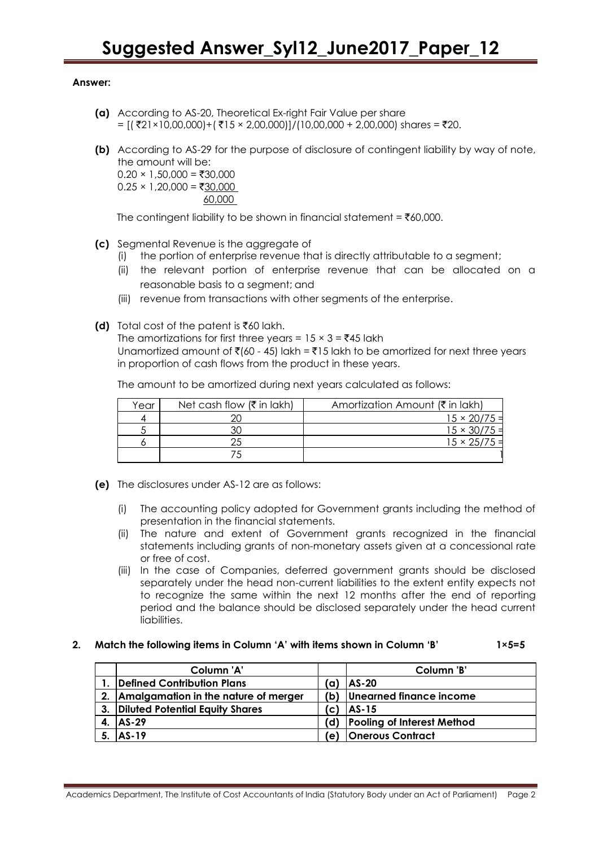#### **Answer:**

- **(a)** According to AS-20, Theoretical Ex-right Fair Value per share  $=$  [(₹21×10,00,000)+(₹15 × 2,00,000)]/(10,00,000 + 2,00,000) shares = ₹20.
- **(b)** According to AS-29 for the purpose of disclosure of contingent liability by way of note, the amount will be:  $0.20 \times 1,50,000 = ₹30,000$

 $0.25 \times 1,20,000 = ₹30,000$ 60,000

The contingent liability to be shown in financial statement =  $\overline{\epsilon}60,000$ .

- **(c)** Segmental Revenue is the aggregate of
	- (i) the portion of enterprise revenue that is directly attributable to a segment;
	- (ii) the relevant portion of enterprise revenue that can be allocated on a reasonable basis to a segment; and
	- (iii) revenue from transactions with other segments of the enterprise.
- **(d)** Total cost of the patent is  $\bar{x}60$  lakh.

The amortizations for first three years =  $15 \times 3 = 145$  lakh Unamortized amount of  $\bar{\mathfrak{e}}$  (60 - 45) lakh =  $\bar{\mathfrak{e}}$  15 lakh to be amortized for next three years in proportion of cash flows from the product in these years.

The amount to be amortized during next years calculated as follows:

| Year | Net cash flow $(\bar{\tau}$ in lakh) | Amortization Amount (₹ in lakh) |
|------|--------------------------------------|---------------------------------|
|      |                                      | $15 \times 20/75 =$             |
|      |                                      | $15 \times 30/75 =$             |
|      |                                      | $15 \times 25/75$               |
|      |                                      |                                 |

- **(e)** The disclosures under AS-12 are as follows:
	- (i) The accounting policy adopted for Government grants including the method of presentation in the financial statements.
	- (ii) The nature and extent of Government grants recognized in the financial statements including grants of non-monetary assets given at a concessional rate or free of cost.
	- (iii) In the case of Companies, deferred government grants should be disclosed separately under the head non-current liabilities to the extent entity expects not to recognize the same within the next 12 months after the end of reporting period and the balance should be disclosed separately under the head current liabilities.

#### **2. Match the following items in Column 'A' with items shown in Column 'B' 1×5=5**

|    | Column 'A'                              |     | Column 'B'                        |
|----|-----------------------------------------|-----|-----------------------------------|
|    | Defined Contribution Plans              | (a) | $AS-20$                           |
|    | 2. Amalgamation in the nature of merger |     | (b) Unearned finance income       |
| 3. | Diluted Potential Equity Shares         | 'c) | $ AS-15 $                         |
|    | $ AS-29 $                               | (d) | <b>Pooling of Interest Method</b> |
|    | $AS-19$                                 | e)  | <b>Onerous Contract</b>           |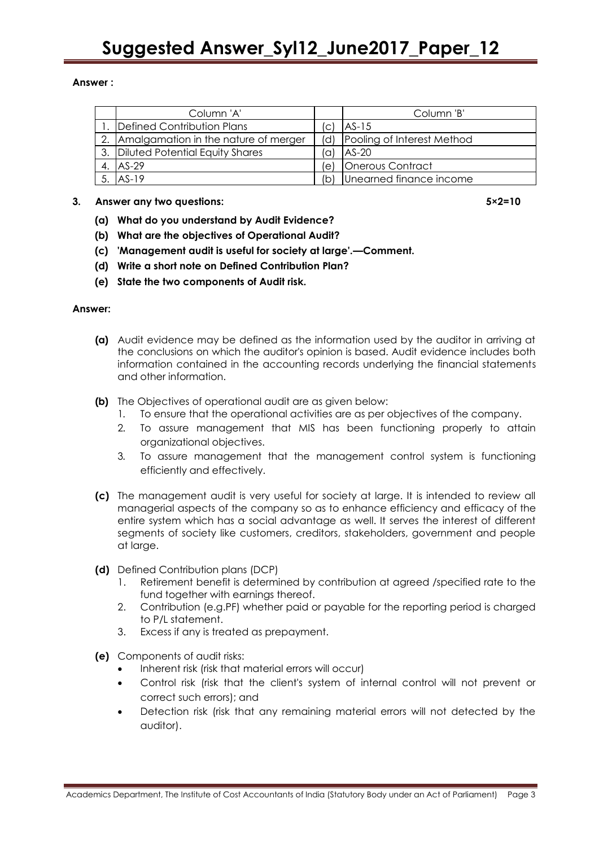#### **Answer :**

| Column 'A'                              |     | Column 'B'                 |
|-----------------------------------------|-----|----------------------------|
| Defined Contribution Plans              | (C) | $AS-15$                    |
| 2. Amalgamation in the nature of merger | 'dl | Pooling of Interest Method |
| 3. Diluted Potential Equity Shares      | .a) | $AS-20$                    |
| 4. AS-29                                | le) | Onerous Contract           |
| AS-19                                   |     | Unearned finance income    |

#### **3. Answer any two questions: 5×2=10**

- **(a) What do you understand by Audit Evidence?**
- **(b) What are the objectives of Operational Audit?**
- **(c) 'Management audit is useful for society at large'.—Comment.**
- **(d) Write a short note on Defined Contribution Plan?**
- **(e) State the two components of Audit risk.**

#### **Answer:**

- **(a)** Audit evidence may be defined as the information used by the auditor in arriving at the conclusions on which the auditor's opinion is based. Audit evidence includes both information contained in the accounting records underlying the financial statements and other information.
- **(b)** The Objectives of operational audit are as given below:
	- 1. To ensure that the operational activities are as per objectives of the company.
	- 2. To assure management that MIS has been functioning properly to attain organizational objectives.
	- 3. To assure management that the management control system is functioning efficiently and effectively.
- **(c)** The management audit is very useful for society at large. It is intended to review all managerial aspects of the company so as to enhance efficiency and efficacy of the entire system which has a social advantage as well. It serves the interest of different segments of society like customers, creditors, stakeholders, government and people at large.
- **(d)** Defined Contribution plans (DCP)
	- 1. Retirement benefit is determined by contribution at agreed /specified rate to the fund together with earnings thereof.
	- 2. Contribution (e.g.PF) whether paid or payable for the reporting period is charged to P/L statement.
	- 3. Excess if any is treated as prepayment.
- **(e)** Components of audit risks:
	- Inherent risk (risk that material errors will occur)
	- Control risk (risk that the client's system of internal control will not prevent or correct such errors); and
	- Detection risk (risk that any remaining material errors will not detected by the auditor).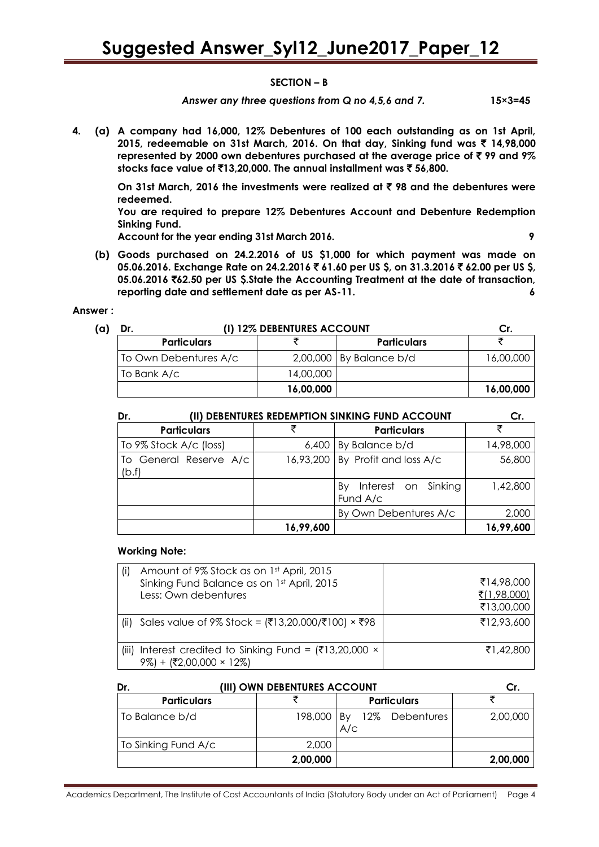#### **SECTION – B**

Answer any three questions from Q no 4,5,6 and 7. 15×3=45

**4. (a) A company had 16,000, 12% Debentures of 100 each outstanding as on 1st April, 2015, redeemable on 31st March, 2016. On that day, Sinking fund was** ` **14,98,000 represented by 2000 own debentures purchased at the average price of** ` **99 and 9% stocks face value of** `**13,20,000. The annual installment was** ` **56,800.**

**On 31st March, 2016 the investments were realized at** ` **98 and the debentures were redeemed.**

**You are required to prepare 12% Debentures Account and Debenture Redemption Sinking Fund.**

**Account for the year ending 31st March 2016. 9**

**(b) Goods purchased on 24.2.2016 of US \$1,000 for which payment was made on 05.06.2016. Exchange Rate on 24.2.2016** ` **61.60 per US \$, on 31.3.2016** ` **62.00 per US \$, 05.06.2016** `**62.50 per US \$.State the Accounting Treatment at the date of transaction, reporting date and settlement date as per AS-11. 6**

#### **Answer :**

| (a) | Dr.                   | (I) 12% DEBENTURES ACCOUNT |                           |           |  |  |
|-----|-----------------------|----------------------------|---------------------------|-----------|--|--|
|     | <b>Particulars</b>    |                            | <b>Particulars</b>        |           |  |  |
|     | To Own Debentures A/c |                            | 2,00,000   By Balance b/d | 16,00,000 |  |  |
|     | To Bank A/c           | 14,00,000                  |                           |           |  |  |
|     |                       | 16,00,000                  |                           | 16,00,000 |  |  |

| (II) DEBENTURES REDEMPTION SINKING FUND ACCOUNT<br>Dr. | Cr.                                |                                       |           |
|--------------------------------------------------------|------------------------------------|---------------------------------------|-----------|
| <b>Particulars</b>                                     |                                    | <b>Particulars</b>                    | ₹         |
| To 9% Stock A/c (loss)                                 | 6,400                              | By Balance b/d                        | 14,98,000 |
| To General Reserve A/c<br>(b.f)                        | $16,93,200$ By Profit and loss A/c |                                       | 56,800    |
|                                                        |                                    | Interest on Sinking<br>By<br>Fund A/c | 1,42,800  |
|                                                        |                                    | By Own Debentures A/c                 | 2,000     |
|                                                        | 16,99,600                          |                                       | 16,99,600 |

#### **Working Note:**

|       | Amount of 9% Stock as on 1st April, 2015<br>Sinking Fund Balance as on 1st April, 2015<br>Less: Own debentures | ₹14,98,000<br>₹(1,98,000)<br>₹13,00,000 |
|-------|----------------------------------------------------------------------------------------------------------------|-----------------------------------------|
| (ii)  | Sales value of 9% Stock = (₹13,20,000/₹100) × ₹98                                                              | ₹12,93,600                              |
| (iii) | Interest credited to Sinking Fund = $(3,20,000 \times$<br>+ $(2,00,000 \times 12\%)$                           | ₹1,42,800                               |

| Dr.                 | (III) OWN DEBENTURES ACCOUNT |                       |          |
|---------------------|------------------------------|-----------------------|----------|
| <b>Particulars</b>  |                              | <b>Particulars</b>    |          |
| To Balance b/d      | 198,000 By                   | 12% Debentures<br>A/c | 2,00,000 |
| To Sinking Fund A/c | 2,000                        |                       |          |
|                     | 2,00,000                     |                       | 2,00,000 |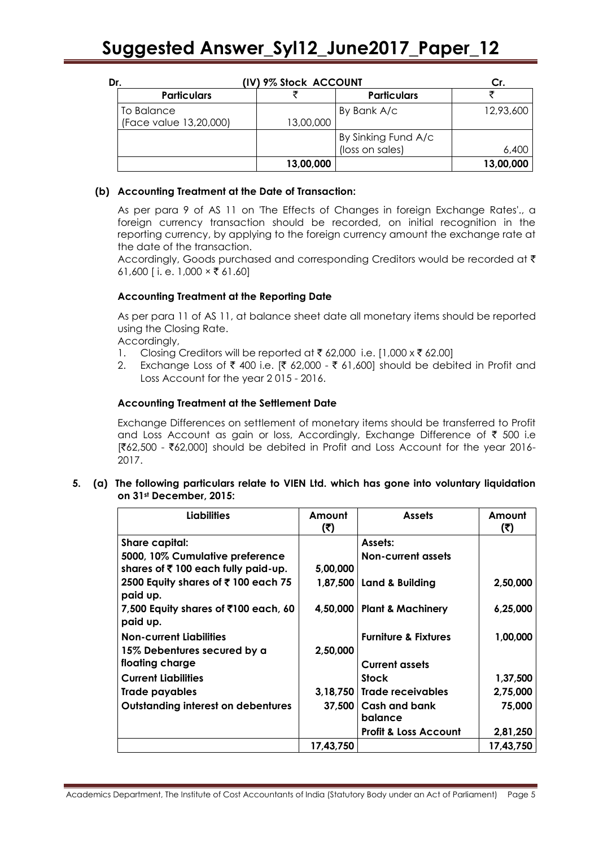| Dr. |                        | (IV) 9% Stock ACCOUNT |           |                     | Сr.       |  |
|-----|------------------------|-----------------------|-----------|---------------------|-----------|--|
|     | <b>Particulars</b>     |                       |           | <b>Particulars</b>  |           |  |
|     | To Balance             |                       |           | By Bank A/c         | 12,93,600 |  |
|     | (Face value 13,20,000) |                       | 13,00,000 |                     |           |  |
|     |                        |                       |           | By Sinking Fund A/c |           |  |
|     |                        |                       |           | (loss on sales)     | 6,400     |  |
|     |                        |                       | 13,00,000 |                     | 13,00,000 |  |

#### **(b) Accounting Treatment at the Date of Transaction:**

As per para 9 of AS 11 on 'The Effects of Changes in foreign Exchange Rates'., a foreign currency transaction should be recorded, on initial recognition in the reporting currency, by applying to the foreign currency amount the exchange rate at the date of the transaction.

Accordingly, Goods purchased and corresponding Creditors would be recorded at ₹ 61,600 [i.e. 1,000  $\times$  ₹ 61.60]

#### **Accounting Treatment at the Reporting Date**

As per para 11 of AS 11, at balance sheet date all monetary items should be reported using the Closing Rate.

Accordingly,

- 1. Closing Creditors will be reported at  $\bar{\tau}$  62,000 i.e. [1,000 x  $\bar{\tau}$  62.00]
- 2. Exchange Loss of ₹ 400 i.e. [₹ 62,000 ₹ 61,600] should be debited in Profit and Loss Account for the year 2 015 - 2016.

#### **Accounting Treatment at the Settlement Date**

Exchange Differences on settlement of monetary items should be transferred to Profit and Loss Account as gain or loss, Accordingly, Exchange Difference of  $\bar{\tau}$  500 i.e  $[$ ₹62,500 - ₹62,000] should be debited in Profit and Loss Account for the year 2016-2017.

#### **5. (a) The following particulars relate to VIEN Ltd. which has gone into voluntary liquidation on 31st December, 2015:**

| <b>Liabilities</b>                                        | Amount<br>(₹) | <b>Assets</b>                     | Amount<br>(5) |
|-----------------------------------------------------------|---------------|-----------------------------------|---------------|
| Share capital:                                            |               | Assets:                           |               |
| 5000, 10% Cumulative preference                           |               | <b>Non-current assets</b>         |               |
| shares of ₹100 each fully paid-up.                        | 5,00,000      |                                   |               |
| 2500 Equity shares of ₹100 each 75<br>paid up.            |               | 1,87,500   Land & Building        | 2,50,000      |
| 7,500 Equity shares of $\bar{x}$ 100 each, 60<br>paid up. |               | 4,50,000   Plant & Machinery      | 6,25,000      |
| <b>Non-current Liabilities</b>                            |               | <b>Furniture &amp; Fixtures</b>   | 1,00,000      |
| 15% Debentures secured by a                               | 2,50,000      |                                   |               |
| floating charge                                           |               | <b>Current assets</b>             |               |
| <b>Current Liabilities</b>                                |               | <b>Stock</b>                      | 1,37,500      |
| Trade payables                                            |               | 3,18,750 Trade receivables        | 2,75,000      |
| <b>Outstanding interest on debentures</b>                 |               | 37,500   Cash and bank<br>balance | 75,000        |
|                                                           |               | <b>Profit &amp; Loss Account</b>  | 2,81,250      |
|                                                           | 17,43,750     |                                   | 17,43,750     |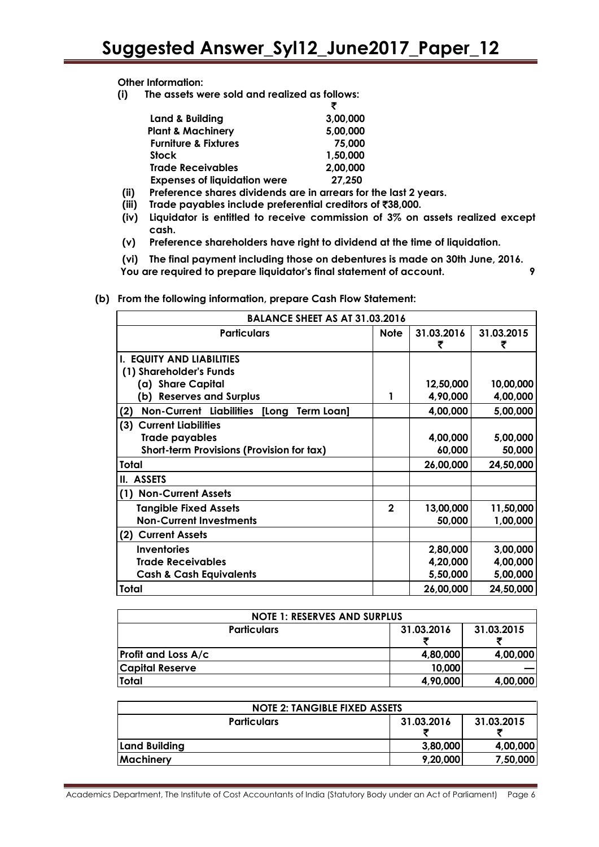**Other Information:**

**(i) The assets were sold and realized as follows:**

| Land & Building                     | 3,00,000 |
|-------------------------------------|----------|
| <b>Plant &amp; Machinery</b>        | 5,00,000 |
| <b>Furniture &amp; Fixtures</b>     | 75,000   |
| <b>Stock</b>                        | 1,50,000 |
| <b>Trade Receivables</b>            | 2,00,000 |
| <b>Expenses of liquidation were</b> | 27,250   |
|                                     |          |

- **(ii) Preference shares dividends are in arrears for the last 2 years.**
- **(iii) Trade payables include preferential creditors of** `**38,000.**
- **(iv) Liquidator is entitled to receive commission of 3% on assets realized except cash.**
- **(v) Preference shareholders have right to dividend at the time of liquidation.**

**(vi) The final payment including those on debentures is made on 30th June, 2016. You are required to prepare liquidator's final statement of account. 9**

**(b) From the following information, prepare Cash Flow Statement:** 

| <b>BALANCE SHEET AS AT 31.03.2016</b>                            |              |                 |                 |  |  |
|------------------------------------------------------------------|--------------|-----------------|-----------------|--|--|
| <b>Particulars</b>                                               | <b>Note</b>  | 31.03.2016<br>₹ | 31.03.2015<br>₹ |  |  |
| <b>I. EQUITY AND LIABILITIES</b>                                 |              |                 |                 |  |  |
| (1) Shareholder's Funds                                          |              |                 |                 |  |  |
| (a) Share Capital                                                |              | 12,50,000       | 10,00,000       |  |  |
| (b) Reserves and Surplus                                         | 1            | 4,90,000        | 4,00,000        |  |  |
| (2)<br><b>Non-Current Liabilities [Long</b><br><b>Term Loan]</b> |              | 4,00,000        | 5,00,000        |  |  |
| (3) Current Liabilities                                          |              |                 |                 |  |  |
| <b>Trade payables</b>                                            |              | 4,00,000        | 5,00,000        |  |  |
| Short-term Provisions (Provision for tax)                        |              | 60,000          | 50,000          |  |  |
| Total                                                            |              | 26,00,000       | 24,50,000       |  |  |
| II. ASSETS                                                       |              |                 |                 |  |  |
| (1) Non-Current Assets                                           |              |                 |                 |  |  |
| <b>Tangible Fixed Assets</b>                                     | $\mathbf{2}$ | 13,00,000       | 11,50,000       |  |  |
| <b>Non-Current Investments</b>                                   |              | 50,000          | 1,00,000        |  |  |
| <b>Current Assets</b><br>(2)                                     |              |                 |                 |  |  |
| <b>Inventories</b>                                               |              | 2,80,000        | 3,00,000        |  |  |
| <b>Trade Receivables</b>                                         |              | 4,20,000        | 4,00,000        |  |  |
| <b>Cash &amp; Cash Equivalents</b>                               |              | 5,50,000        | 5,00,000        |  |  |
| Total                                                            |              | 26,00,000       | 24,50,000       |  |  |

| <b>NOTE 1: RESERVES AND SURPLUS</b>            |          |          |  |  |
|------------------------------------------------|----------|----------|--|--|
| 31.03.2016<br>31.03.2015<br><b>Particulars</b> |          |          |  |  |
| <b>Profit and Loss A/c</b>                     | 4,80,000 | 4,00,000 |  |  |
| <b>Capital Reserve</b>                         | 10,000   |          |  |  |
| Total                                          | 4,90,000 | 4,00,000 |  |  |

| <b>NOTE 2: TANGIBLE FIXED ASSETS</b>           |          |          |  |  |
|------------------------------------------------|----------|----------|--|--|
| 31.03.2016<br>31.03.2015<br><b>Particulars</b> |          |          |  |  |
| Land Building                                  | 3,80,000 | 4,00,000 |  |  |
| <b>Machinery</b>                               | 9,20,000 | 7,50,000 |  |  |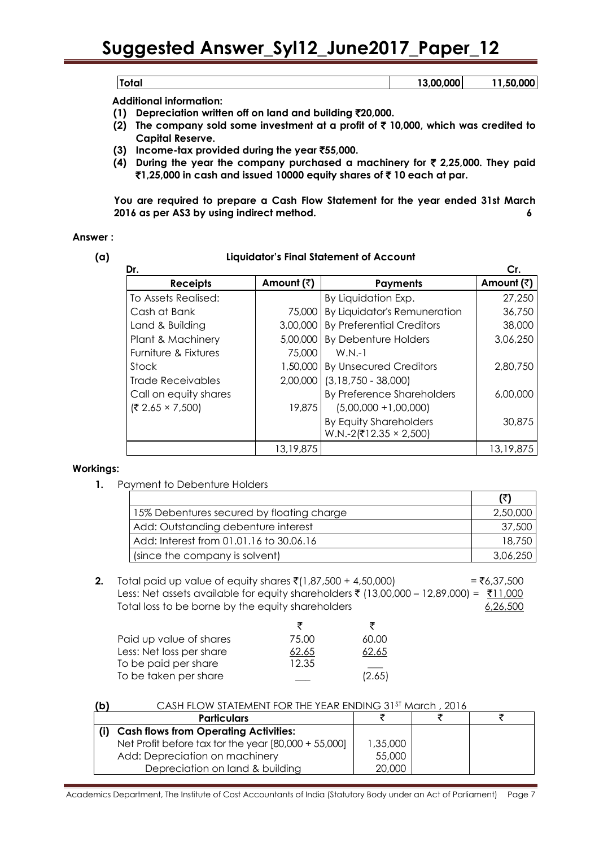|      | <b>COO OOO</b> | ^^^<br>- |
|------|----------------|----------|
| vıuı |                |          |

 **Additional information:** 

- **(1) Depreciation written off on land and building** `**20,000.**
- **(2) The company sold some investment at a profit of** ` **10,000, which was credited to Capital Reserve.**
- **(3) Income-tax provided during the year** `**55,000.**
- **(4) During the year the company purchased a machinery for** ` **2,25,000. They paid**  `**1,25,000 in cash and issued 10000 equity shares of** ` **10 each at par.**

**You are required to prepare a Cash Flow Statement for the year ended 31st March 2016 as per AS3 by using indirect method. 6**

#### **Answer :**

#### **(a) Liquidator's Final Statement of Account**

| Dr.                    |            |                                  | Cr.        |
|------------------------|------------|----------------------------------|------------|
| <b>Receipts</b>        | Amount (₹) | <b>Payments</b>                  | Amount (₹) |
| To Assets Realised:    |            | By Liquidation Exp.              | 27,250     |
| Cash at Bank           | 75,000     | By Liquidator's Remuneration     | 36,750     |
| Land & Building        | 3,00,000   | <b>By Preferential Creditors</b> | 38,000     |
| Plant & Machinery      | 5,00,000   | By Debenture Holders             | 3,06,250   |
| Furniture & Fixtures   | 75,000     | $W.N.-1$                         |            |
| Stock                  | 1,50,000   | <b>By Unsecured Creditors</b>    | 2,80,750   |
| Trade Receivables      | 2,00,000   | $(3,18,750 - 38,000)$            |            |
| Call on equity shares  |            | By Preference Shareholders       | 6,00,000   |
| $(72.65 \times 7,500)$ | 19,875     | $(5,00,000 + 1,00,000)$          |            |
|                        |            | By Equity Shareholders           | 30,875     |
|                        |            | $W.N.-2(712.35 \times 2,500)$    |            |
|                        | 13,19,875  |                                  | 13,19,875  |

#### **Workings:**

**1.** Payment to Debenture Holders

|                                           | (₹)      |
|-------------------------------------------|----------|
| 15% Debentures secured by floating charge | 2,50,000 |
| Add: Outstanding debenture interest       | 37,500   |
| Add: Interest from 01.01.16 to 30.06.16   | 18,750   |
| (since the company is solvent)            | 3,06,250 |

**2.** Total paid up value of equity shares  $\bar{\tau}(1,87,500 + 4,50,000)$  =  $\bar{\tau}(6,37,500)$ Less: Net assets available for equity shareholders ₹ (13,00,000 – 12,89,000) =  $\frac{711,000}{ }$ Total loss to be borne by the equity shareholders example to the 6,26,500

|                          | ₹     |        |
|--------------------------|-------|--------|
| Paid up value of shares  | 75.00 | 60.00  |
| Less: Net loss per share | 62.65 | 62.65  |
| To be paid per share     | 12.35 |        |
| To be taken per share    |       | (2.65) |

|--|

| 1,35,000 |  |
|----------|--|
| 55,000   |  |
| 20,000   |  |
|          |  |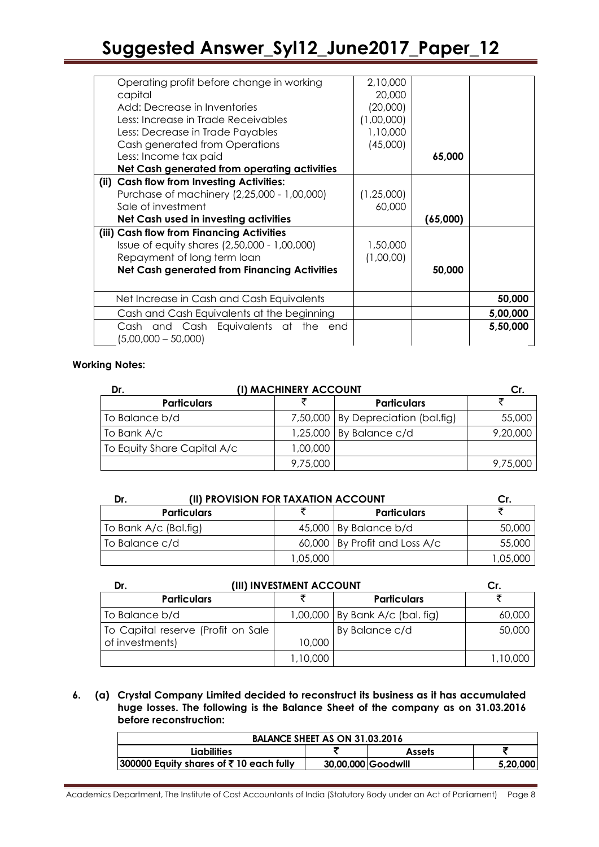| Operating profit before change in working<br>capital<br>Add: Decrease in Inventories<br>Less: Increase in Trade Receivables<br>Less: Decrease in Trade Payables<br>Cash generated from Operations                                                                                                                                          | 2,10,000<br>20,000<br>(20,000)<br>(1,00,000)<br>1,10,000 |                    |          |
|--------------------------------------------------------------------------------------------------------------------------------------------------------------------------------------------------------------------------------------------------------------------------------------------------------------------------------------------|----------------------------------------------------------|--------------------|----------|
| Less: Income tax paid<br>Net Cash generated from operating activities                                                                                                                                                                                                                                                                      | (45,000)                                                 | 65,000             |          |
| (ii) Cash flow from Investing Activities:<br>Purchase of machinery (2,25,000 - 1,00,000)<br>Sale of investment<br>Net Cash used in investing activities<br>(iii) Cash flow from Financing Activities<br>Issue of equity shares (2,50,000 - 1,00,000)<br>Repayment of long term loan<br><b>Net Cash generated from Financing Activities</b> | (1, 25, 000)<br>60,000<br>1,50,000<br>(1,00,00)          | (65,000)<br>50,000 |          |
| Net Increase in Cash and Cash Equivalents                                                                                                                                                                                                                                                                                                  |                                                          |                    | 50,000   |
| Cash and Cash Equivalents at the beginning                                                                                                                                                                                                                                                                                                 |                                                          |                    | 5,00,000 |
| Cash and Cash Equivalents at the<br>end<br>$(5,00,000 - 50,000)$                                                                                                                                                                                                                                                                           |                                                          |                    | 5,50,000 |

#### **Working Notes:**

| Dr.                         | (I) MACHINERY ACCOUNT |                                      |          |
|-----------------------------|-----------------------|--------------------------------------|----------|
| <b>Particulars</b>          |                       | <b>Particulars</b>                   |          |
| To Balance b/d              |                       | 7,50,000   By Depreciation (bal.fig) | 55,000   |
| To Bank A/c                 |                       | $1,25,000$ By Balance c/d            | 9,20,000 |
| To Equity Share Capital A/c | 00,000,1              |                                      |          |
|                             | 9,75,000              |                                      | 9,75,000 |

| (II) PROVISION FOR TAXATION ACCOUNT<br>Dr. |         |                               |          |
|--------------------------------------------|---------|-------------------------------|----------|
| <b>Particulars</b>                         |         | <b>Particulars</b>            |          |
| To Bank A/c (Bal.fig)                      |         | $45,000$ By Balance b/d       | 50,000   |
| To Balance c/d                             |         | 60,000 By Profit and Loss A/c | 55,000   |
|                                            | 05.000. |                               | 1,05,000 |

| Dr.                                | (III) INVESTMENT ACCOUNT |                                   |          |
|------------------------------------|--------------------------|-----------------------------------|----------|
| <b>Particulars</b>                 |                          | <b>Particulars</b>                |          |
| To Balance b/d                     |                          | 1,00,000   By Bank A/c (bal. fig) | 60,000   |
| To Capital reserve (Profit on Sale |                          | By Balance c/d                    | 50,000   |
| of investments)                    | 10,000                   |                                   |          |
|                                    | 1,10,000                 |                                   | 1,10,000 |

#### **6. (a) Crystal Company Limited decided to reconstruct its business as it has accumulated huge losses. The following is the Balance Sheet of the company as on 31.03.2016 before reconstruction:**

| BALANCE SHEET AS ON 31.03.2016            |                    |               |          |  |
|-------------------------------------------|--------------------|---------------|----------|--|
| Liabilities                               |                    | <b>Assets</b> |          |  |
| $ 300000$ Equity shares of ₹10 each fully | 30,00,000 Goodwill |               | 5.20.000 |  |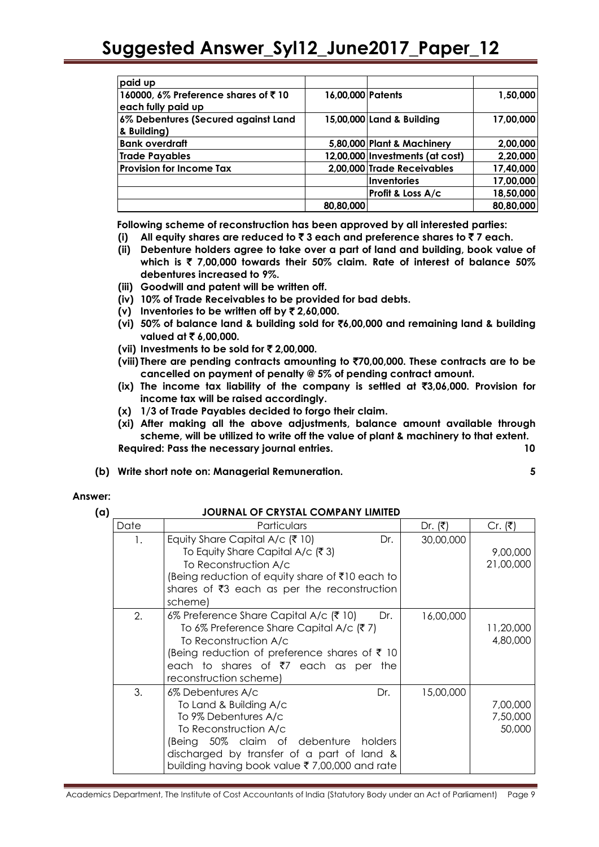| paid up                             |                   |                                 |           |
|-------------------------------------|-------------------|---------------------------------|-----------|
| 160000, 6% Preference shares of ₹10 | 16,00,000 Patents |                                 | 1,50,000  |
| each fully paid up                  |                   |                                 |           |
| 6% Debentures (Secured against Land |                   | 15,00,000 Land & Building       | 17,00,000 |
| & Building)                         |                   |                                 |           |
| <b>Bank overdraft</b>               |                   | 5,80,000 Plant & Machinery      | 2,00,000  |
| Trade Payables                      |                   | 12,00,000 Investments (at cost) | 2,20,000  |
| <b>Provision for Income Tax</b>     |                   | 2,00,000 Trade Receivables      | 17,40,000 |
|                                     |                   | Inventories                     | 17,00,000 |
|                                     |                   | Profit & Loss A/c               | 18,50,000 |
|                                     | 80,80,000         |                                 | 80,80,000 |

 **Following scheme of reconstruction has been approved by all interested parties:** 

- **(i) All equity shares are reduced to** ` **3 each and preference shares to** ` **7 each.**
- **(ii) Debenture holders agree to take over a part of land and building, book value of which is** ` **7,00,000 towards their 50% claim. Rate of interest of balance 50% debentures increased to 9%.**
- **(iii) Goodwill and patent will be written off.**
- **(iv) 10% of Trade Receivables to be provided for bad debts.**
- **(v) Inventories to be written off by** ` **2,60,000.**
- **(vi) 50% of balance land & building sold for** `**6,00,000 and remaining land & building valued at ₹6,00,000.**
- **(vii) Investments to be sold for** ` **2,00,000.**
- **(viii) There are pending contracts amounting to** `**70,00,000. These contracts are to be cancelled on payment of penalty @ 5% of pending contract amount.**
- **(ix) The income tax liability of the company is settled at** `**3,06,000. Provision for income tax will be raised accordingly.**
- **(x) 1/3 of Trade Payables decided to forgo their claim.**
- **(xi) After making all the above adjustments, balance amount available through scheme, will be utilized to write off the value of plant & machinery to that extent. Required: Pass the necessary journal entries. 10**
- **(b) Write short note on: Managerial Remuneration. 5**

#### **Answer:**

#### **(a) JOURNAL OF CRYSTAL COMPANY LIMITED**

| Date | Particulars                                                                                                                                                                                                                                                 | Dr. $(₹)$ | Cr. ( ₹)                       |
|------|-------------------------------------------------------------------------------------------------------------------------------------------------------------------------------------------------------------------------------------------------------------|-----------|--------------------------------|
| 1.   | Equity Share Capital A/c ( $\bar{\tau}$ 10)<br>Dr.<br>To Equity Share Capital A/c $(3)$<br>To Reconstruction A/c<br>(Being reduction of equity share of ₹10 each to<br>shares of $\overline{3}$ each as per the reconstruction<br>schemel                   | 30,00,000 | 9,00,000<br>21,00,000          |
| 2.   | 6% Preference Share Capital A/c (₹ 10)<br>Dr.<br>To 6% Preference Share Capital A/c (₹7)<br>To Reconstruction A/c<br>(Being reduction of preference shares of $\bar{\tau}$ 10<br>each to shares of $\overline{z}$ each as per the<br>reconstruction scheme) | 16,00,000 | 11,20,000<br>4,80,000          |
| 3.   | 6% Debentures A/c<br>Dr.<br>To Land & Building A/c<br>To 9% Debentures A/c<br>To Reconstruction A/c<br>(Being 50% claim of debenture<br>holders<br>discharged by transfer of a part of land &<br>building having book value ₹7,00,000 and rate              | 15,00,000 | 7,00,000<br>7,50,000<br>50,000 |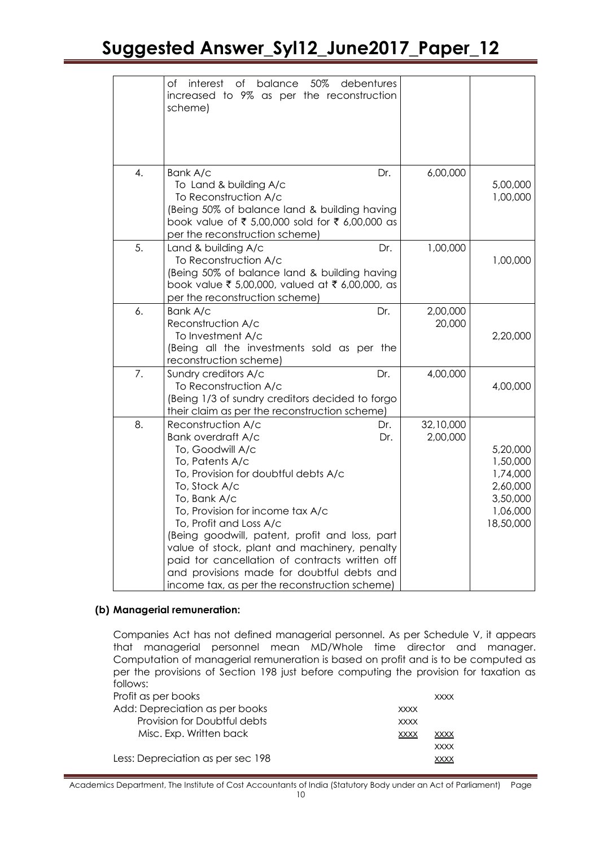|    | of interest of<br>balance 50%<br>debentures<br>increased to 9% as per the reconstruction<br>scheme)                                                                                                                                                                                                                                                                                                                                                                        |            |                       |                                                                                   |
|----|----------------------------------------------------------------------------------------------------------------------------------------------------------------------------------------------------------------------------------------------------------------------------------------------------------------------------------------------------------------------------------------------------------------------------------------------------------------------------|------------|-----------------------|-----------------------------------------------------------------------------------|
| 4. | Bank A/c<br>To Land & building A/c<br>To Reconstruction A/c<br>(Being 50% of balance land & building having<br>book value of ₹ 5,00,000 sold for ₹ 6,00,000 as<br>per the reconstruction scheme)                                                                                                                                                                                                                                                                           | Dr.        | 6,00,000              | 5,00,000<br>1,00,000                                                              |
| 5. | Land & building A/c<br>To Reconstruction A/c<br>(Being 50% of balance land & building having<br>book value ₹ 5,00,000, valued at ₹ 6,00,000, as<br>per the reconstruction scheme)                                                                                                                                                                                                                                                                                          | Dr.        | 1,00,000              | 1,00,000                                                                          |
| 6. | Bank A/c<br>Reconstruction A/c<br>To Investment A/c<br>(Being all the investments sold as per the<br>reconstruction scheme)                                                                                                                                                                                                                                                                                                                                                | Dr.        | 2,00,000<br>20,000    | 2,20,000                                                                          |
| 7. | Sundry creditors A/c<br>To Reconstruction A/c<br>(Being 1/3 of sundry creditors decided to forgo<br>their claim as per the reconstruction scheme)                                                                                                                                                                                                                                                                                                                          | Dr.        | 4,00,000              | 4,00,000                                                                          |
| 8. | Reconstruction A/c<br>Bank overdraft A/c<br>To, Goodwill A/c<br>To, Patents A/c<br>To, Provision for doubtful debts A/c<br>To, Stock A/c<br>To, Bank A/c<br>To, Provision for income tax A/c<br>To, Profit and Loss A/c<br>(Being goodwill, patent, profit and loss, part<br>value of stock, plant and machinery, penalty<br>paid tor cancellation of contracts written off<br>and provisions made for doubtful debts and<br>income tax, as per the reconstruction scheme) | Dr.<br>Dr. | 32,10,000<br>2,00,000 | 5,20,000<br>1,50,000<br>1,74,000<br>2,60,000<br>3,50,000<br>1,06,000<br>18,50,000 |

#### **(b) Managerial remuneration:**

Companies Act has not defined managerial personnel. As per Schedule V, it appears that managerial personnel mean MD/Whole time director and manager. Computation of managerial remuneration is based on profit and is to be computed as per the provisions of Section 198 just before computing the provision for taxation as follows:

| Profit as per books               |             | <b>XXXX</b> |
|-----------------------------------|-------------|-------------|
| Add: Depreciation as per books    | <b>XXXX</b> |             |
| Provision for Doubtful debts      | <b>XXXX</b> |             |
| Misc. Exp. Written back           | <b>XXXX</b> | <b>XXXX</b> |
|                                   |             | <b>XXXX</b> |
| Less: Depreciation as per sec 198 |             | <b>XXXX</b> |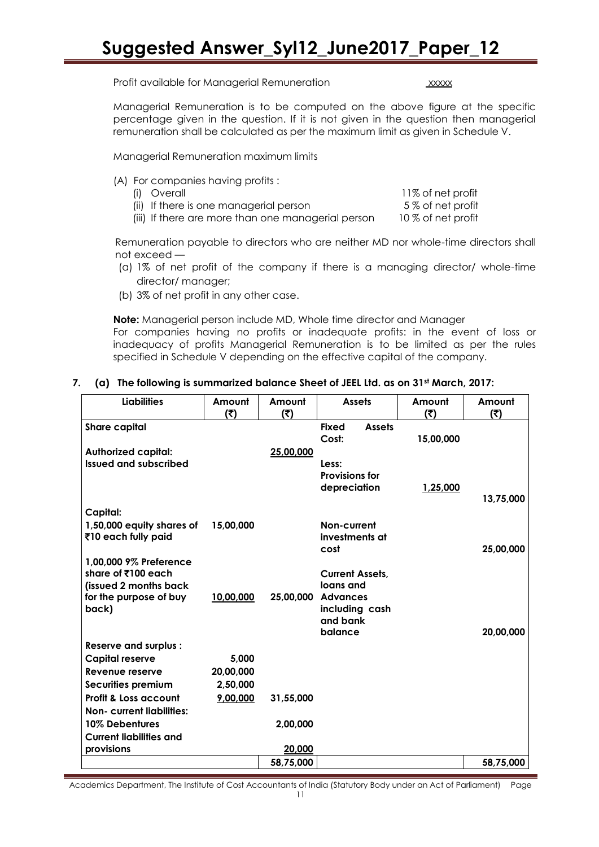Profit available for Managerial Remuneration xxxxx

Managerial Remuneration is to be computed on the above figure at the specific percentage given in the question. If it is not given in the question then managerial remuneration shall be calculated as per the maximum limit as given in Schedule V.

Managerial Remuneration maximum limits

(A) For companies having profits :

| (i) Overall                                        | 11% of net profit  |
|----------------------------------------------------|--------------------|
| (ii) If there is one managerial person             | 5 % of net profit  |
| (iii) If there are more than one managerial person | 10 % of net profit |

Remuneration payable to directors who are neither MD nor whole-time directors shall not exceed —

- (a) 1% of net profit of the company if there is a managing director/ whole-time director/ manager;
- (b) 3% of net profit in any other case.

**Note:** Managerial person include MD, Whole time director and Manager For companies having no profits or inadequate profits: in the event of loss or inadequacy of profits Managerial Remuneration is to be limited as per the rules specified in Schedule V depending on the effective capital of the company.

#### **7. (a) The following is summarized balance Sheet of JEEL Ltd. as on 31st March, 2017:**

| <b>Liabilities</b>                          | Amount<br>(5) | Amount<br>(5) | <b>Assets</b>                          | Amount<br>(5)   | Amount<br>(5) |
|---------------------------------------------|---------------|---------------|----------------------------------------|-----------------|---------------|
| <b>Share capital</b>                        |               |               | <b>Fixed</b><br><b>Assets</b><br>Cost: | 15,00,000       |               |
| <b>Authorized capital:</b>                  |               | 25,00,000     |                                        |                 |               |
| Issued and subscribed                       |               |               | Less:                                  |                 |               |
|                                             |               |               | <b>Provisions for</b><br>depreciation  | <u>1,25,000</u> |               |
|                                             |               |               |                                        |                 | 13,75,000     |
| Capital:                                    |               |               |                                        |                 |               |
| 1,50,000 equity shares of                   | 15,00,000     |               | Non-current                            |                 |               |
| ₹10 each fully paid                         |               |               | investments at                         |                 |               |
|                                             |               |               | cost                                   |                 | 25,00,000     |
| 1,00,000 9% Preference                      |               |               |                                        |                 |               |
| share of ₹100 each<br>(issued 2 months back |               |               | <b>Current Assets,</b><br>loans and    |                 |               |
| for the purpose of buy                      | 10,00,000     | 25,00,000     | <b>Advances</b>                        |                 |               |
| back)                                       |               |               | including cash                         |                 |               |
|                                             |               |               | and bank                               |                 |               |
|                                             |               |               | balance                                |                 | 20,00,000     |
| <b>Reserve and surplus:</b>                 |               |               |                                        |                 |               |
| Capital reserve                             | 5,000         |               |                                        |                 |               |
| Revenue reserve                             | 20,00,000     |               |                                        |                 |               |
| Securities premium                          | 2,50,000      |               |                                        |                 |               |
| Profit & Loss account                       | 9,00,000      | 31,55,000     |                                        |                 |               |
| <b>Non- current liabilities:</b>            |               |               |                                        |                 |               |
| 10% Debentures                              |               | 2,00,000      |                                        |                 |               |
| <b>Current liabilities and</b>              |               |               |                                        |                 |               |
| provisions                                  |               | 20,000        |                                        |                 |               |
|                                             |               | 58,75,000     |                                        |                 | 58,75,000     |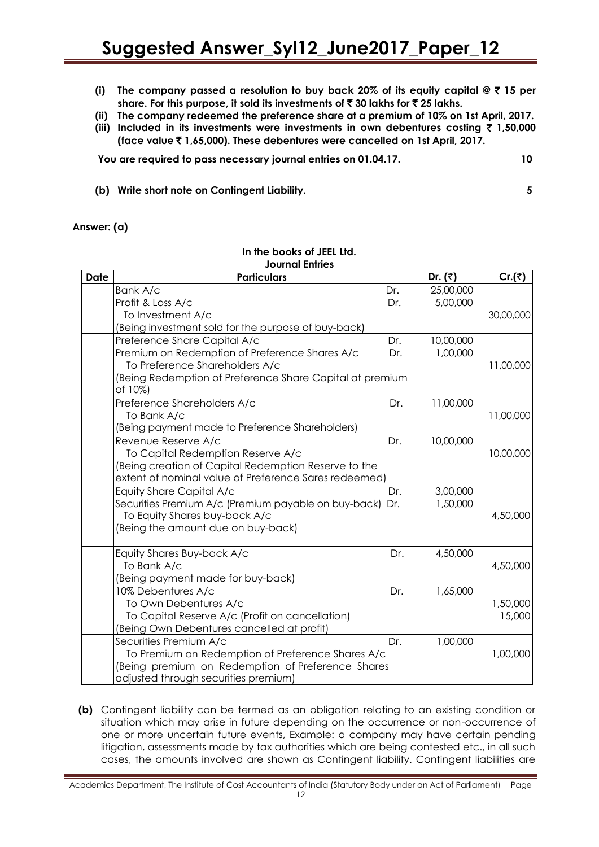- **(i) The company passed a resolution to buy back 20% of its equity capital @** ` **15 per share. For this purpose, it sold its investments of** ` **30 lakhs for** ` **25 lakhs.**
- **(ii) The company redeemed the preference share at a premium of 10% on 1st April, 2017.**
- **(iii) Included in its investments were investments in own debentures costing** ` **1,50,000 (face value** ` **1,65,000). These debentures were cancelled on 1st April, 2017.**

**You are required to pass necessary journal entries on 01.04.17. 10**

**(b) Write short note on Contingent Liability. 5**

**Answer: (a)** 

| <b>Date</b> | Journal Entries<br><b>Particulars</b>                               |     | Dr. $(3)$ | Cr()      |
|-------------|---------------------------------------------------------------------|-----|-----------|-----------|
|             | Bank A/c                                                            | Dr. | 25,00,000 |           |
|             | Profit & Loss A/c                                                   | Dr. | 5,00,000  |           |
|             | To Investment A/c                                                   |     |           | 30,00,000 |
|             | (Being investment sold for the purpose of buy-back)                 |     |           |           |
|             | Preference Share Capital A/c                                        | Dr. | 10,00,000 |           |
|             | Premium on Redemption of Preference Shares A/c                      | Dr. | 1,00,000  |           |
|             | To Preference Shareholders A/c                                      |     |           | 11,00,000 |
|             | (Being Redemption of Preference Share Capital at premium<br>of 10%) |     |           |           |
|             | Preference Shareholders A/c                                         | Dr. | 11,00,000 |           |
|             | To Bank A/c                                                         |     |           | 11,00,000 |
|             | (Being payment made to Preference Shareholders)                     |     |           |           |
|             | Revenue Reserve A/c                                                 | Dr. | 10,00,000 |           |
|             | To Capital Redemption Reserve A/c                                   |     |           | 10,00,000 |
|             | (Being creation of Capital Redemption Reserve to the                |     |           |           |
|             | extent of nominal value of Preference Sares redeemed)               |     |           |           |
|             | Equity Share Capital A/c                                            | Dr. | 3,00,000  |           |
|             | Securities Premium A/c (Premium payable on buy-back) Dr.            |     | 1,50,000  |           |
|             | To Equity Shares buy-back A/c                                       |     |           | 4,50,000  |
|             | (Being the amount due on buy-back)                                  |     |           |           |
|             | Equity Shares Buy-back A/c                                          | Dr. | 4,50,000  |           |
|             | To Bank A/c                                                         |     |           | 4,50,000  |
|             | (Being payment made for buy-back)                                   |     |           |           |
|             | 10% Debentures A/c                                                  | Dr. | 1,65,000  |           |
|             | To Own Debentures A/c                                               |     |           | 1,50,000  |
|             | To Capital Reserve A/c (Profit on cancellation)                     |     |           | 15,000    |
|             | (Being Own Debentures cancelled at profit)                          |     |           |           |
|             | Securities Premium A/c                                              | Dr. | 1,00,000  |           |
|             | To Premium on Redemption of Preference Shares A/c                   |     |           | 1,00,000  |
|             | (Being premium on Redemption of Preference Shares                   |     |           |           |
|             | adjusted through securities premium)                                |     |           |           |

#### **In the books of JEEL Ltd. Journal Entries**

**(b)** Contingent liability can be termed as an obligation relating to an existing condition or situation which may arise in future depending on the occurrence or non-occurrence of one or more uncertain future events, Example: a company may have certain pending litigation, assessments made by tax authorities which are being contested etc., in all such cases, the amounts involved are shown as Contingent liability. Contingent liabilities are

Academics Department, The Institute of Cost Accountants of India (Statutory Body under an Act of Parliament) Page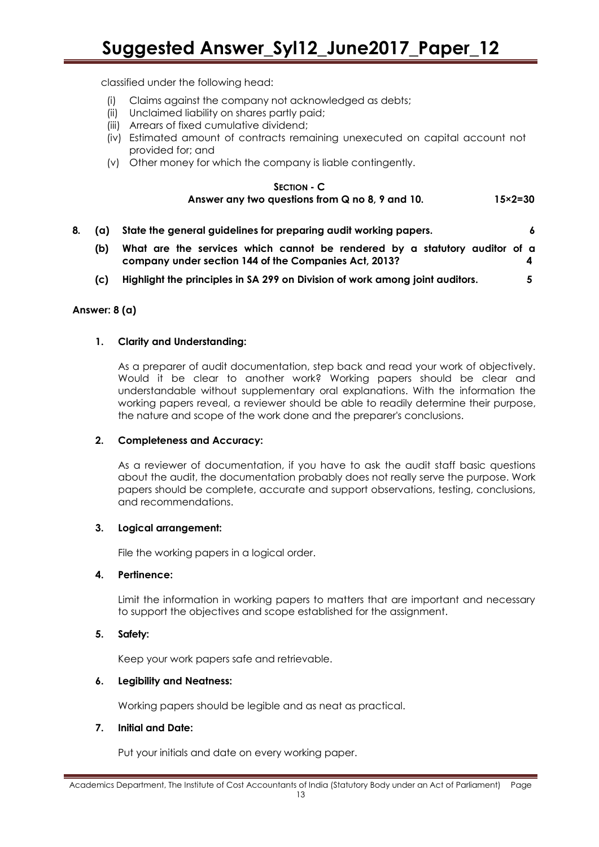classified under the following head:

- (i) Claims against the company not acknowledged as debts;
- (ii) Unclaimed liability on shares partly paid;
- (iii) Arrears of fixed cumulative dividend;
- (iv) Estimated amount of contracts remaining unexecuted on capital account not provided for; and
- (v) Other money for which the company is liable contingently.

#### **SECTION - C Answer any two questions from Q no 8, 9 and 10. 15×2=30**

**8. (a) State the general guidelines for preparing audit working papers. 6 (b) What are the services which cannot be rendered by a statutory auditor of a company under section 144 of the Companies Act, 2013? 4 (c) Highlight the principles in SA 299 on Division of work among joint auditors. 5**

#### **Answer: 8 (a)**

#### **1. Clarity and Understanding:**

As a preparer of audit documentation, step back and read your work of objectively. Would it be clear to another work? Working papers should be clear and understandable without supplementary oral explanations. With the information the working papers reveal, a reviewer should be able to readily determine their purpose, the nature and scope of the work done and the preparer's conclusions.

#### **2. Completeness and Accuracy:**

As a reviewer of documentation, if you have to ask the audit staff basic questions about the audit, the documentation probably does not really serve the purpose. Work papers should be complete, accurate and support observations, testing, conclusions, and recommendations.

#### **3. Logical arrangement:**

File the working papers in a logical order.

#### **4. Pertinence:**

Limit the information in working papers to matters that are important and necessary to support the objectives and scope established for the assignment.

#### **5. Safety:**

Keep your work papers safe and retrievable.

#### **6. Legibility and Neatness:**

Working papers should be legible and as neat as practical.

#### **7. Initial and Date:**

Put your initials and date on every working paper.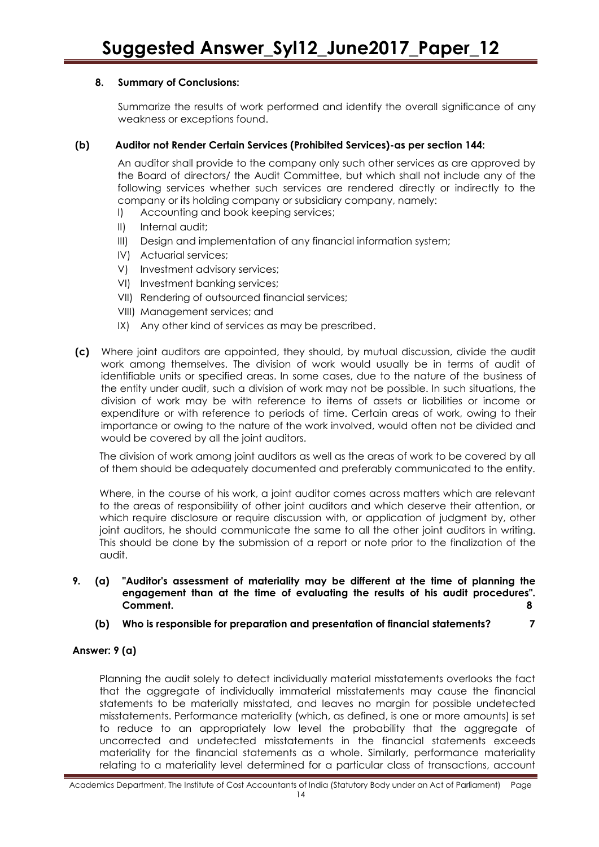#### **8. Summary of Conclusions:**

Summarize the results of work performed and identify the overall significance of any weakness or exceptions found.

#### **(b) Auditor not Render Certain Services (Prohibited Services)-as per section 144:**

An auditor shall provide to the company only such other services as are approved by the Board of directors/ the Audit Committee, but which shall not include any of the following services whether such services are rendered directly or indirectly to the company or its holding company or subsidiary company, namely:

- I) Accounting and book keeping services;
- II) Internal audit;
- III) Design and implementation of any financial information system;
- IV) Actuarial services;
- V) Investment advisory services;
- VI) Investment banking services;
- VII) Rendering of outsourced financial services;
- VIII) Management services; and
- IX) Any other kind of services as may be prescribed.
- **(c)** Where joint auditors are appointed, they should, by mutual discussion, divide the audit work among themselves. The division of work would usually be in terms of audit of identifiable units or specified areas. In some cases, due to the nature of the business of the entity under audit, such a division of work may not be possible. In such situations, the division of work may be with reference to items of assets or liabilities or income or expenditure or with reference to periods of time. Certain areas of work, owing to their importance or owing to the nature of the work involved, would often not be divided and would be covered by all the joint auditors.

The division of work among joint auditors as well as the areas of work to be covered by all of them should be adequately documented and preferably communicated to the entity.

Where, in the course of his work, a joint auditor comes across matters which are relevant to the areas of responsibility of other joint auditors and which deserve their attention, or which require disclosure or require discussion with, or application of judgment by, other joint auditors, he should communicate the same to all the other joint auditors in writing. This should be done by the submission of a report or note prior to the finalization of the audit.

- **9. (a) "Auditor's assessment of materiality may be different at the time of planning the engagement than at the time of evaluating the results of his audit procedures". Comment. 8**
	- **(b) Who is responsible for preparation and presentation of financial statements? 7**

### **Answer: 9 (a)**

Planning the audit solely to detect individually material misstatements overlooks the fact that the aggregate of individually immaterial misstatements may cause the financial statements to be materially misstated, and leaves no margin for possible undetected misstatements. Performance materiality (which, as defined, is one or more amounts) is set to reduce to an appropriately low level the probability that the aggregate of uncorrected and undetected misstatements in the financial statements exceeds materiality for the financial statements as a whole. Similarly, performance materiality relating to a materiality level determined for a particular class of transactions, account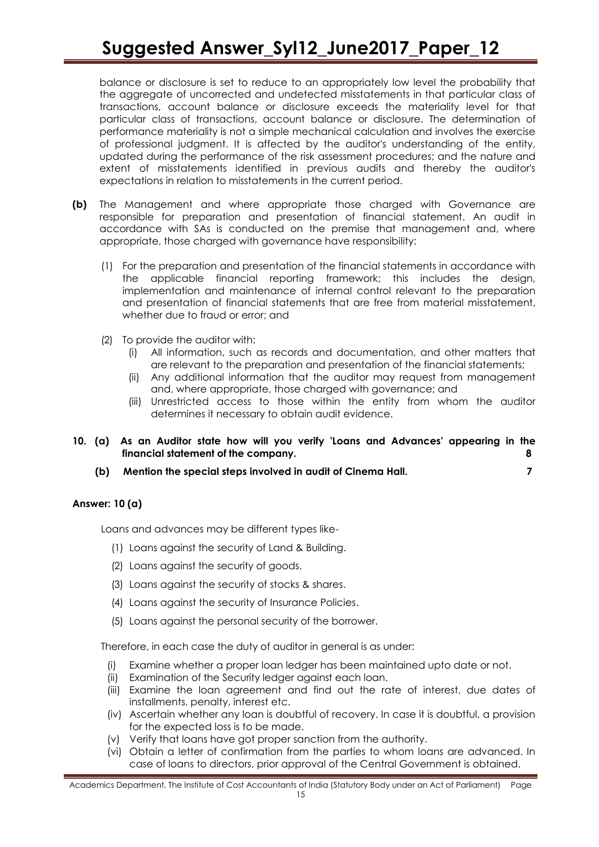balance or disclosure is set to reduce to an appropriately low level the probability that the aggregate of uncorrected and undetected misstatements in that particular class of transactions, account balance or disclosure exceeds the materiality level for that particular class of transactions, account balance or disclosure. The determination of performance materiality is not a simple mechanical calculation and involves the exercise of professional judgment. It is affected by the auditor's understanding of the entity, updated during the performance of the risk assessment procedures; and the nature and extent of misstatements identified in previous audits and thereby the auditor's expectations in relation to misstatements in the current period.

- **(b)** The Management and where appropriate those charged with Governance are responsible for preparation and presentation of financial statement. An audit in accordance with SAs is conducted on the premise that management and, where appropriate, those charged with governance have responsibility:
	- (1) For the preparation and presentation of the financial statements in accordance with the applicable financial reporting framework; this includes the design, implementation and maintenance of internal control relevant to the preparation and presentation of financial statements that are free from material misstatement, whether due to fraud or error; and
	- (2) To provide the auditor with:
		- (i) All information, such as records and documentation, and other matters that are relevant to the preparation and presentation of the financial statements;
		- (ii) Any additional information that the auditor may request from management and, where appropriate, those charged with governance; and
		- (iii) Unrestricted access to those within the entity from whom the auditor determines it necessary to obtain audit evidence.
- **10. (a) As an Auditor state how will you verify 'Loans and Advances' appearing in the financial statement of the company. 8**
	- **(b) Mention the special steps involved in audit of Cinema Hall. 7**

#### **Answer: 10 (a)**

Loans and advances may be different types like-

- (1) Loans against the security of Land & Building.
- (2) Loans against the security of goods.
- (3) Loans against the security of stocks & shares.
- (4) Loans against the security of Insurance Policies.
- (5) Loans against the personal security of the borrower.

Therefore, in each case the duty of auditor in general is as under:

- Examine whether a proper loan ledger has been maintained upto date or not.
- (ii) Examination of the Security ledger against each loan.
- (iii) Examine the loan agreement and find out the rate of interest, due dates of installments, penalty, interest etc.
- (iv) Ascertain whether any loan is doubtful of recovery. In case it is doubtful, a provision for the expected loss is to be made.
- (v) Verify that loans have got proper sanction from the authority.
- (vi) Obtain a letter of confirmation from the parties to whom loans are advanced. In case of loans to directors, prior approval of the Central Government is obtained.